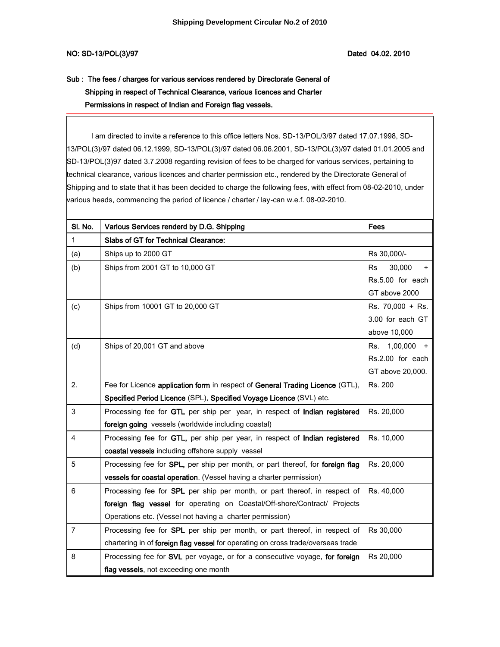## Sub : The fees / charges for various services rendered by Directorate General of Shipping in respect of Technical Clearance, various licences and Charter Permissions in respect of Indian and Foreign flag vessels.

 I am directed to invite a reference to this office letters Nos. SD-13/POL/3/97 dated 17.07.1998, SD-13/POL(3)/97 dated 06.12.1999, SD-13/POL(3)/97 dated 06.06.2001, SD-13/POL(3)/97 dated 01.01.2005 and SD-13/POL(3)97 dated 3.7.2008 regarding revision of fees to be charged for various services, pertaining to technical clearance, various licences and charter permission etc., rendered by the Directorate General of Shipping and to state that it has been decided to charge the following fees, with effect from 08-02-2010, under various heads, commencing the period of licence / charter / lay-can w.e.f. 08-02-2010.

| SI. No.        | Various Services renderd by D.G. Shipping                                        | Fees                      |
|----------------|----------------------------------------------------------------------------------|---------------------------|
| $\mathbf{1}$   | Slabs of GT for Technical Clearance:                                             |                           |
| (a)            | Ships up to 2000 GT                                                              | Rs 30,000/-               |
| (b)            | Ships from 2001 GT to 10,000 GT                                                  | 30,000<br>Rs<br>$\ddot{}$ |
|                |                                                                                  | Rs.5.00 for each          |
|                |                                                                                  | GT above 2000             |
| (c)            | Ships from 10001 GT to 20,000 GT                                                 | Rs. 70,000 + Rs.          |
|                |                                                                                  | 3.00 for each GT          |
|                |                                                                                  | above 10,000              |
| (d)            | Ships of 20,001 GT and above                                                     | 1,00,000<br>Rs.<br>$+$    |
|                |                                                                                  | Rs.2.00 for each          |
|                |                                                                                  | GT above 20,000.          |
| 2.             | Fee for Licence application form in respect of General Trading Licence (GTL),    | Rs. 200                   |
|                | Specified Period Licence (SPL), Specified Voyage Licence (SVL) etc.              |                           |
| 3              | Processing fee for GTL per ship per year, in respect of Indian registered        | Rs. 20,000                |
|                | foreign going vessels (worldwide including coastal)                              |                           |
| 4              | Processing fee for GTL, per ship per year, in respect of Indian registered       | Rs. 10,000                |
|                | coastal vessels including offshore supply vessel                                 |                           |
| 5              | Processing fee for SPL, per ship per month, or part thereof, for foreign flag    | Rs. 20,000                |
|                | vessels for coastal operation. (Vessel having a charter permission)              |                           |
| 6              | Processing fee for SPL per ship per month, or part thereof, in respect of        | Rs. 40,000                |
|                | foreign flag vessel for operating on Coastal/Off-shore/Contract/ Projects        |                           |
|                | Operations etc. (Vessel not having a charter permission)                         |                           |
| $\overline{7}$ | Processing fee for SPL per ship per month, or part thereof, in respect of        | Rs 30,000                 |
|                | chartering in of foreign flag vessel for operating on cross trade/overseas trade |                           |
| 8              | Processing fee for SVL per voyage, or for a consecutive voyage, for foreign      | Rs 20,000                 |
|                | flag vessels, not exceeding one month                                            |                           |